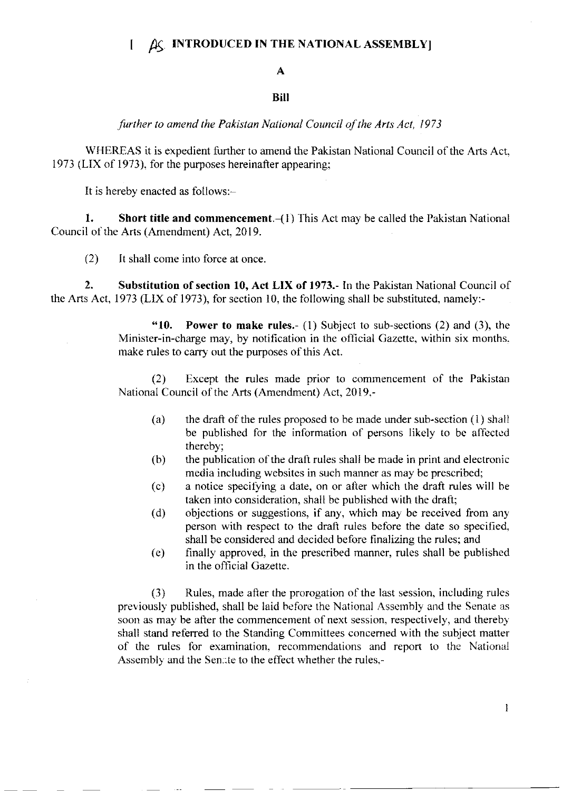## $[$   $\Delta \zeta$  INTRODUCED IN THE NATIONAL ASSEMBLY

## A

## **Bill**

further to amend the Pakistan National Council of the Arts Act, <sup>1973</sup>

WHEREAS it is expedient further to amend the Pakistan National Council of the Arts Act, 1973 (LIX of 1973). for the purposes hereinafter appearing;

It is hereby enacted as follows:-

1. Short title and commencement. $-(1)$  This Act may be called the Pakistan National Council of the Arts (Amendment) Act, 2019.

(2) It shall come into force at once.

2. Substitution of section 10, Act LIX of 1973.- In the Pakistan National Council of the Afts Act, 1973 (LIX of 1973), for section 10, the following shall be substituted, namely:-

> "10. Power to make rules. $-(1)$  Subject to sub-sections (2) and (3), the Minister-in-charge may, by notification in the official Gazette, within six months. make rules to carry out the purposes of this Act.

> (2) Except the rules made prior to commencement of the Pakistan National Council of the Arts (Amendment) Act, 2019.-

- (a) the draft of the rules proposed to be made under sub-section  $(1)$  shall be published for the information of persons likely to be affected thereby;
- the publication of the draft rules shall be made in print and electronic media including websites in such manner as may be prescribed; (b)
- a notice specifying a date, on or alter which the draft rules will be taken into consideration, shall be published with the draft; (c)
- objections or suggestions, if any, which may be received from any person with respect to the draft rules before the date so specified. shall be considered and decided before flnalizing the rules; and (d)
- finally approved, in the prescribed manner, rules shall be published in the official Gazette. (e)

(3) Rules, made after the prorogation of the last session, including rules previously published, shall be laid before the National Assembly and the Senate as soon as may be after the commencement of next session, respectively, and thereby shall stand referred to the Standing Committees concerned with the subject matter of the rules fbr examination. recommendations and report to thc National Assembly and the Senate to the effect whether the rules,-

 $\mathbf{I}$